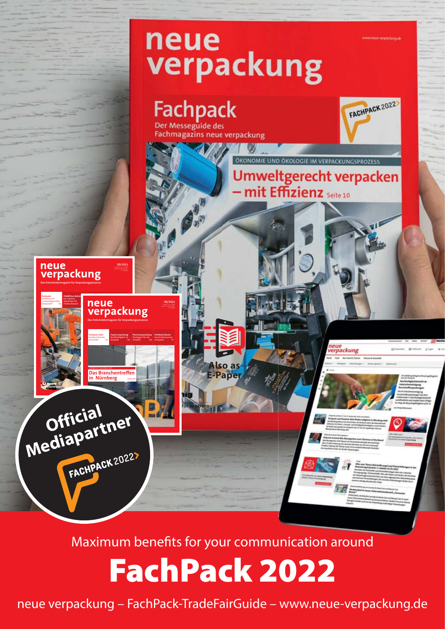

Maximum benefits for your communication around

# **FachPack 2022**

neue verpackung – FachPack-TradeFairGuide – www.neue-verpackung.de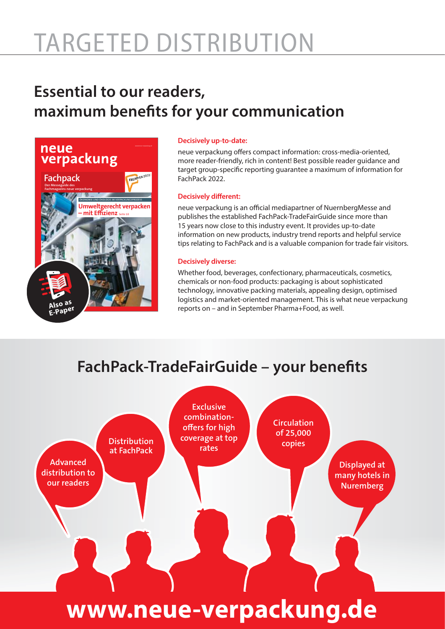# TARGETED DISTRIBUTION

## **Essential to our readers, maximum benefits for your communication**



### **Decisively up-to-date:**

neue verpackung offers compact information: cross-media-oriented, more reader-friendly, rich in content! Best possible reader guidance and target group-specific reporting guarantee a maximum of information for FachPack 2022.

### **Decisively different:**

neue verpackung is an official mediapartner of NuernbergMesse and publishes the established FachPack-TradeFairGuide since more than 15 years now close to this industry event. It provides up-to-date information on new products, industry trend reports and helpful service tips relating to FachPack and is a valuable companion for trade fair visitors.

### **Decisively diverse:**

Whether food, beverages, confectionary, pharmaceuticals, cosmetics, chemicals or non-food products: packaging is about sophisticated technology, innovative packing materials, appealing design, optimised logistics and market-oriented management. This is what neue verpackung reports on – and in September Pharma+Food, as well.

### **FachPack-TradeFairGuide – your benefits**

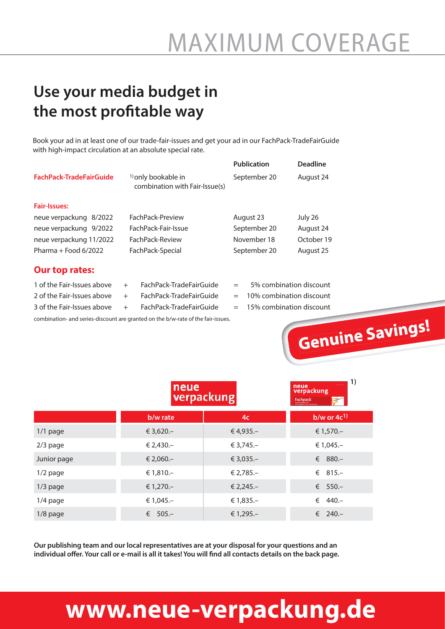## **Use your media budget in**  the most profitable way

Book your ad in at least one of our trade-fair-issues and get your ad in our FachPack-TradeFairGuide with high-impact circulation at an absolute special rate.

|                            |                                                                                  | <b>Publication</b>              | <b>Deadline</b>         |
|----------------------------|----------------------------------------------------------------------------------|---------------------------------|-------------------------|
| FachPack-TradeFairGuide    | <sup>1)</sup> only bookable in<br>combination with Fair-Issue(s)                 | September 20                    | August 24               |
| <b>Fair-Issues:</b>        |                                                                                  |                                 |                         |
| neue verpackung 8/2022     | FachPack-Preview                                                                 | August 23                       | July 26                 |
| neue verpackung 9/2022     | FachPack-Fair-Issue                                                              | September 20                    | August 24               |
| neue verpackung 11/2022    | FachPack-Review                                                                  | November 18                     | October 19              |
| Pharma + Food $6/2022$     | FachPack-Special                                                                 | September 20                    | August 25               |
| <b>Our top rates:</b>      |                                                                                  |                                 |                         |
| 1 of the Fair-Issues above | FachPack-TradeFairGuide<br>$+$                                                   | 5% combination discount<br>$=$  |                         |
| 2 of the Fair-Issues above | FachPack-TradeFairGuide<br>$+$                                                   | 10% combination discount<br>$=$ |                         |
| 3 of the Fair-Issues above | FachPack-TradeFairGuide<br>$+$                                                   | 15% combination discount<br>$=$ |                         |
|                            | combination- and series-discount are granted on the b/w-rate of the fair-issues. |                                 | <b>Genuine Savings!</b> |
|                            |                                                                                  |                                 |                         |

|             | neue<br>verpackung |                | 1)<br>neue<br>verpackung<br>Fachpack |
|-------------|--------------------|----------------|--------------------------------------|
|             | b/w rate           | 4 <sub>c</sub> | b/w or $4c^{1}$                      |
| $1/1$ page  | € 3,620.-          | €4,935.-       | € 1,570.-                            |
| $2/3$ page  | € 2,430.-          | € 3,745.-      | € 1,045.-                            |
| Junior page | € 2,060.-          | € 3,035.-      | $880 -$<br>€                         |
| $1/2$ page  | € 1,810.-          | € 2,785.-      | $815 -$<br>€                         |
| $1/3$ page  | € 1,270.-          | € 2,245.-      | $550 -$<br>€                         |
| $1/4$ page  | € 1,045.-          | € 1,835.-      | €<br>$440 -$                         |
| $1/8$ page  | € $505 -$          | € 1,295.-      | $240 -$<br>€                         |

**Our publishing team and our local representatives are at your disposal for your questions and an**  individual offer. Your call or e-mail is all it takes! You will find all contacts details on the back page.

## **www.neue-verpackung.de**